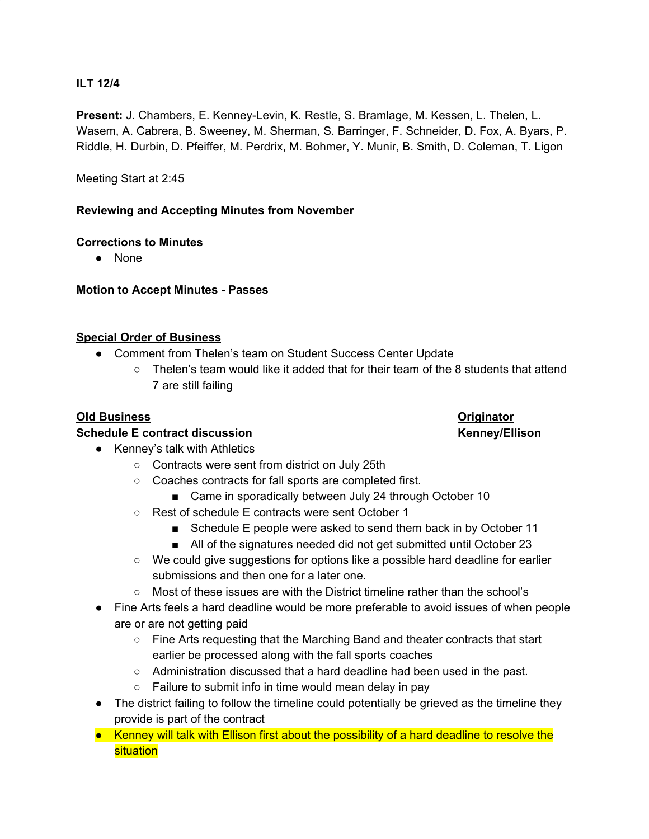## **ILT 12/4**

**Present:** J. Chambers, E. Kenney-Levin, K. Restle, S. Bramlage, M. Kessen, L. Thelen, L. Wasem, A. Cabrera, B. Sweeney, M. Sherman, S. Barringer, F. Schneider, D. Fox, A. Byars, P. Riddle, H. Durbin, D. Pfeiffer, M. Perdrix, M. Bohmer, Y. Munir, B. Smith, D. Coleman, T. Ligon

Meeting Start at 2:45

## **Reviewing and Accepting Minutes from November**

## **Corrections to Minutes**

● None

**Motion to Accept Minutes - Passes**

## **Special Order of Business**

- Comment from Thelen's team on Student Success Center Update
	- Thelen's team would like it added that for their team of the 8 students that attend 7 are still failing

## **Old Business Originator**

### **Schedule E contract discussion Kenney/Ellison**

- Kenney's talk with Athletics
	- Contracts were sent from district on July 25th
	- Coaches contracts for fall sports are completed first.
		- Came in sporadically between July 24 through October 10
	- Rest of schedule E contracts were sent October 1
		- Schedule E people were asked to send them back in by October 11
		- All of the signatures needed did not get submitted until October 23
	- We could give suggestions for options like a possible hard deadline for earlier submissions and then one for a later one.
	- Most of these issues are with the District timeline rather than the school's
- Fine Arts feels a hard deadline would be more preferable to avoid issues of when people are or are not getting paid
	- Fine Arts requesting that the Marching Band and theater contracts that start earlier be processed along with the fall sports coaches
	- Administration discussed that a hard deadline had been used in the past.
	- Failure to submit info in time would mean delay in pay
- The district failing to follow the timeline could potentially be grieved as the timeline they provide is part of the contract
- Kenney will talk with Ellison first about the possibility of a hard deadline to resolve the situation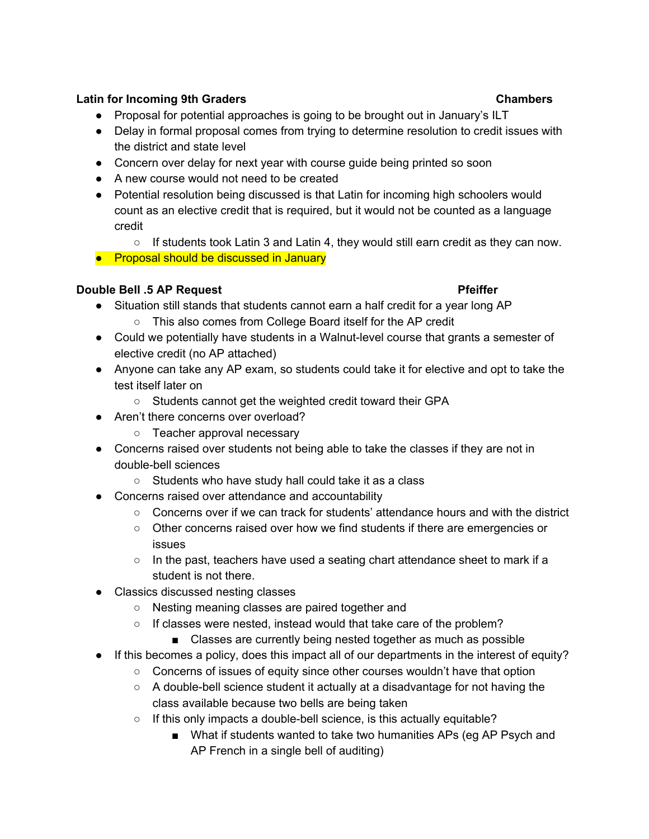# **Latin for Incoming 9th Graders Chambers**

- Proposal for potential approaches is going to be brought out in January's ILT
- Delay in formal proposal comes from trying to determine resolution to credit issues with the district and state level
- Concern over delay for next year with course guide being printed so soon
- A new course would not need to be created
- Potential resolution being discussed is that Latin for incoming high schoolers would count as an elective credit that is required, but it would not be counted as a language credit
	- $\circ$  If students took Latin 3 and Latin 4, they would still earn credit as they can now.
- Proposal should be discussed in January

# **Double Bell .5 AP Request Pfeiffer**

- Situation still stands that students cannot earn a half credit for a year long AP
	- This also comes from College Board itself for the AP credit
- Could we potentially have students in a Walnut-level course that grants a semester of elective credit (no AP attached)
- Anyone can take any AP exam, so students could take it for elective and opt to take the test itself later on
	- Students cannot get the weighted credit toward their GPA
- Aren't there concerns over overload?
	- Teacher approval necessary
- Concerns raised over students not being able to take the classes if they are not in double-bell sciences
	- Students who have study hall could take it as a class
- Concerns raised over attendance and accountability
	- $\circ$  Concerns over if we can track for students' attendance hours and with the district
	- Other concerns raised over how we find students if there are emergencies or issues
	- $\circ$  In the past, teachers have used a seating chart attendance sheet to mark if a student is not there.
- Classics discussed nesting classes
	- Nesting meaning classes are paired together and
	- If classes were nested, instead would that take care of the problem?
		- Classes are currently being nested together as much as possible
- If this becomes a policy, does this impact all of our departments in the interest of equity?
	- Concerns of issues of equity since other courses wouldn't have that option
	- A double-bell science student it actually at a disadvantage for not having the class available because two bells are being taken
	- If this only impacts a double-bell science, is this actually equitable?
		- What if students wanted to take two humanities APs (eg AP Psych and AP French in a single bell of auditing)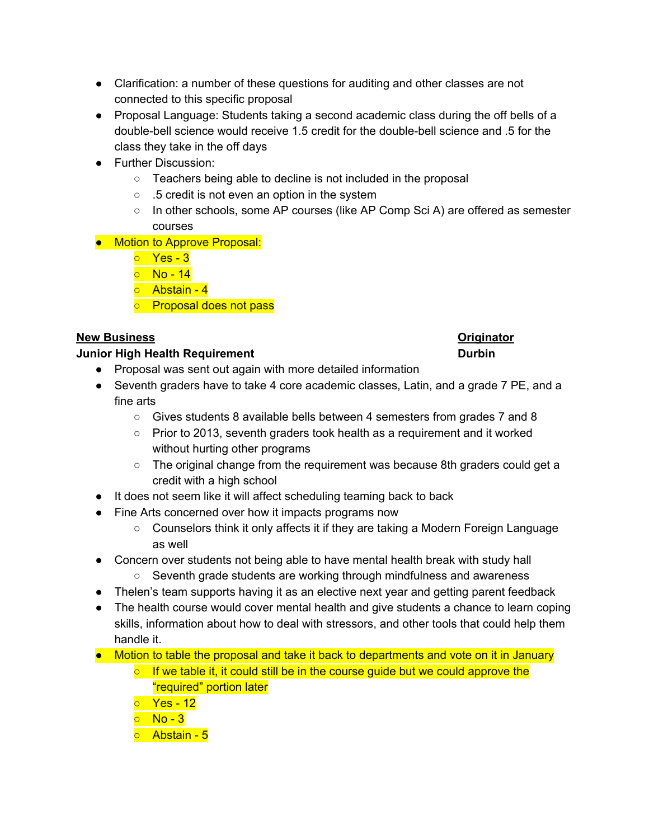- Clarification: a number of these questions for auditing and other classes are not connected to this specific proposal
- Proposal Language: Students taking a second academic class during the off bells of a double-bell science would receive 1.5 credit for the double-bell science and .5 for the class they take in the off days
- Further Discussion:
	- Teachers being able to decline is not included in the proposal
	- .5 credit is not even an option in the system
	- In other schools, some AP courses (like AP Comp Sci A) are offered as semester courses
- Motion to Approve Proposal:
	- Yes 3
	- **No 14**
	- Abstain 4
	- o Proposal does not pass

# **New Business Originator**

# **Junior High Health Requirement Durbin**

- Proposal was sent out again with more detailed information
- Seventh graders have to take 4 core academic classes, Latin, and a grade 7 PE, and a fine arts
	- Gives students 8 available bells between 4 semesters from grades 7 and 8
	- $\circ$  Prior to 2013, seventh graders took health as a requirement and it worked without hurting other programs
	- The original change from the requirement was because 8th graders could get a credit with a high school
- It does not seem like it will affect scheduling teaming back to back
- Fine Arts concerned over how it impacts programs now
	- Counselors think it only affects it if they are taking a Modern Foreign Language as well
- Concern over students not being able to have mental health break with study hall
	- Seventh grade students are working through mindfulness and awareness
- Thelen's team supports having it as an elective next year and getting parent feedback
- The health course would cover mental health and give students a chance to learn coping skills, information about how to deal with stressors, and other tools that could help them handle it.
- Motion to table the proposal and take it back to departments and vote on it in January
	- $\circ$  If we table it, it could still be in the course guide but we could approve the "required" portion later
	- Yes 12
	- $\circ$  No 3
	- Abstain 5